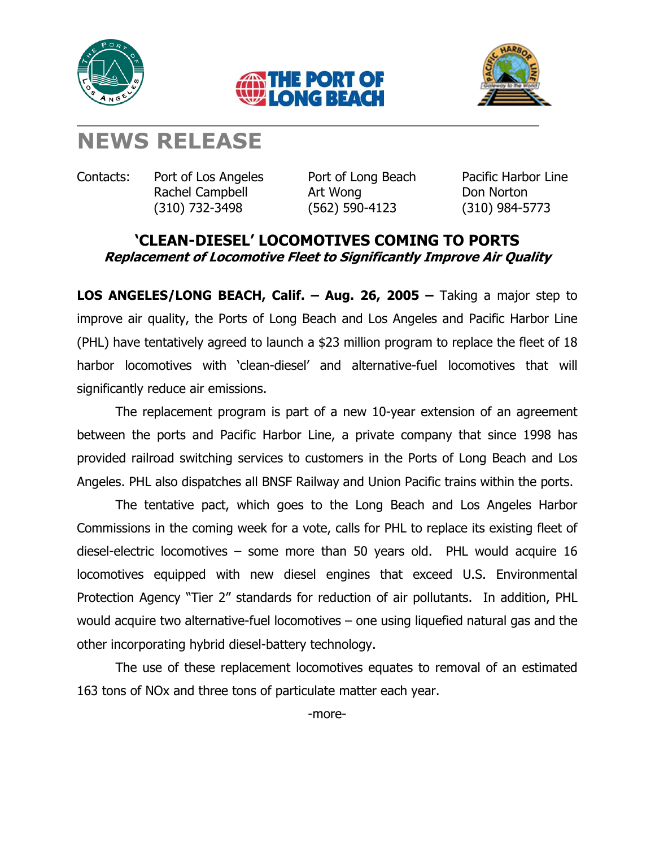





## **NEWS RELEASE**

Contacts: Port of Los Angeles Port of Long Beach Pacific Harbor Line

Rachel Campbell **Art Wong Campbell** Art Wong **Don Norton** (310) 732-3498 (562) 590-4123 (310) 984-5773

## **'CLEAN-DIESEL' LOCOMOTIVES COMING TO PORTS Replacement of Locomotive Fleet to Significantly Improve Air Quality**

**LOS ANGELES/LONG BEACH, Calif. – Aug. 26, 2005 –** Taking a major step to improve air quality, the Ports of Long Beach and Los Angeles and Pacific Harbor Line (PHL) have tentatively agreed to launch a \$23 million program to replace the fleet of 18 harbor locomotives with 'clean-diesel' and alternative-fuel locomotives that will significantly reduce air emissions.

The replacement program is part of a new 10-year extension of an agreement between the ports and Pacific Harbor Line, a private company that since 1998 has provided railroad switching services to customers in the Ports of Long Beach and Los Angeles. PHL also dispatches all BNSF Railway and Union Pacific trains within the ports.

The tentative pact, which goes to the Long Beach and Los Angeles Harbor Commissions in the coming week for a vote, calls for PHL to replace its existing fleet of diesel-electric locomotives – some more than 50 years old. PHL would acquire 16 locomotives equipped with new diesel engines that exceed U.S. Environmental Protection Agency "Tier 2" standards for reduction of air pollutants. In addition, PHL would acquire two alternative-fuel locomotives – one using liquefied natural gas and the other incorporating hybrid diesel-battery technology.

The use of these replacement locomotives equates to removal of an estimated 163 tons of NOx and three tons of particulate matter each year.

-more-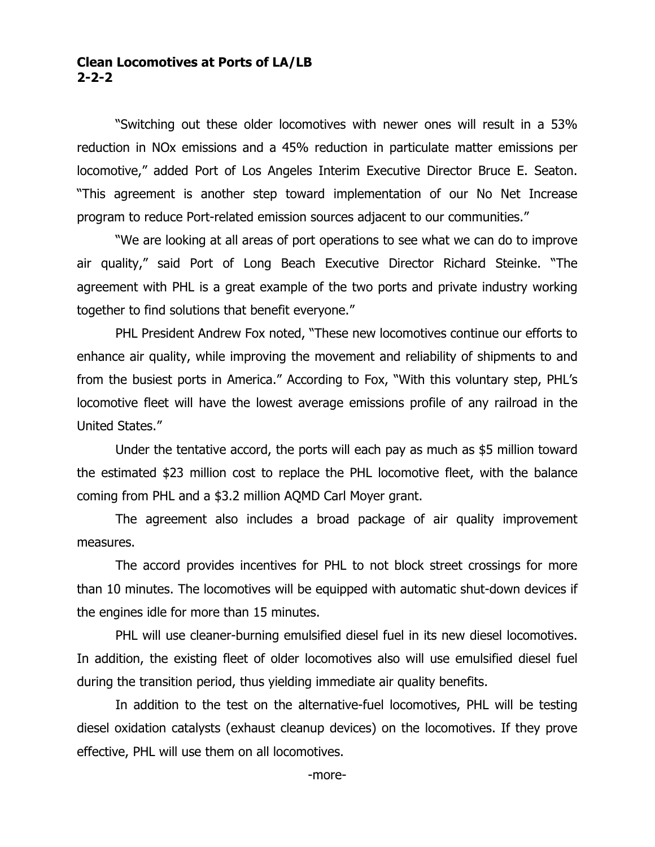## **Clean Locomotives at Ports of LA/LB 2-2-2**

"Switching out these older locomotives with newer ones will result in a 53% reduction in NOx emissions and a 45% reduction in particulate matter emissions per locomotive," added Port of Los Angeles Interim Executive Director Bruce E. Seaton. "This agreement is another step toward implementation of our No Net Increase program to reduce Port-related emission sources adjacent to our communities."

"We are looking at all areas of port operations to see what we can do to improve air quality," said Port of Long Beach Executive Director Richard Steinke. "The agreement with PHL is a great example of the two ports and private industry working together to find solutions that benefit everyone."

PHL President Andrew Fox noted, "These new locomotives continue our efforts to enhance air quality, while improving the movement and reliability of shipments to and from the busiest ports in America." According to Fox, "With this voluntary step, PHL's locomotive fleet will have the lowest average emissions profile of any railroad in the United States."

Under the tentative accord, the ports will each pay as much as \$5 million toward the estimated \$23 million cost to replace the PHL locomotive fleet, with the balance coming from PHL and a \$3.2 million AQMD Carl Moyer grant.

The agreement also includes a broad package of air quality improvement measures.

The accord provides incentives for PHL to not block street crossings for more than 10 minutes. The locomotives will be equipped with automatic shut-down devices if the engines idle for more than 15 minutes.

PHL will use cleaner-burning emulsified diesel fuel in its new diesel locomotives. In addition, the existing fleet of older locomotives also will use emulsified diesel fuel during the transition period, thus yielding immediate air quality benefits.

In addition to the test on the alternative-fuel locomotives, PHL will be testing diesel oxidation catalysts (exhaust cleanup devices) on the locomotives. If they prove effective, PHL will use them on all locomotives.